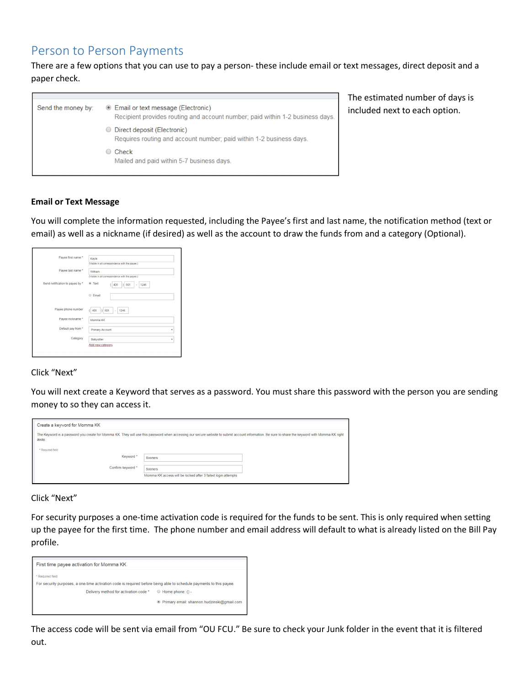# Person to Person Payments

There are a few options that you can use to pay a person-these include email or text messages, direct deposit and a paper check.

| Send the money by: | <b>Email or text message (Electronic)</b><br>Recipient provides routing and account number; paid within 1-2 business days. |
|--------------------|----------------------------------------------------------------------------------------------------------------------------|
|                    | ◯ Direct deposit (Electronic)<br>Requires routing and account number; paid within 1-2 business days.                       |
|                    | Check<br>Mailed and paid within 5-7 business days.                                                                         |

The estimated number of days is included next to each option.

### **Email or Text Message**

You will complete the information requested, including the Payee's first and last name, the notification method (text or email) as well as a nickname (if desired) as well as the account to draw the funds from and a category (Optional).

| Payee first name *              | Kayla                                           |   |
|---------------------------------|-------------------------------------------------|---|
|                                 | (Visible in all correspondence with the payee.) |   |
| Payee last name *               | Wilham                                          |   |
|                                 | (Visible in all correspondence with the payee.) |   |
| Send notification to payee by * | ⊕ Text<br>405<br> 501<br>1246<br>۰              |   |
|                                 | C Email                                         |   |
| Payee phone number              | (405)<br> 501<br>1246<br>÷                      |   |
| Payee nickname *                | Momma KK                                        |   |
| Default pay from *              | Primary Account                                 |   |
| Category                        | Babysitter                                      | ٠ |
|                                 | Add new category                                |   |

## Click "Next"

You will next create a Keyword that serves as a password. You must share this password with the person you are sending money to so they can access it.

| Create a keyword for Momma KK                                                                                                                                                                                                 |                                                                         |  |
|-------------------------------------------------------------------------------------------------------------------------------------------------------------------------------------------------------------------------------|-------------------------------------------------------------------------|--|
| The Keyword is a password you create for Momma KK. They will use this password when accessing our secure website to submit account information. Be sure to share the keyword with Momma KK right<br>away.<br>* Required field |                                                                         |  |
| Keyword *                                                                                                                                                                                                                     | Sooners                                                                 |  |
| Confirm keyword *                                                                                                                                                                                                             | Sooners<br>Momma KK access will be locked after 3 failed login attempts |  |

Click "Next"

For security purposes a one-time activation code is required for the funds to be sent. This is only required when setting up the payee for the first time. The phone number and email address will default to what is already listed on the Bill Pay profile.

| First time payee activation for Momma KK                                                                                                                                                                   |                                              |
|------------------------------------------------------------------------------------------------------------------------------------------------------------------------------------------------------------|----------------------------------------------|
| * Required field<br>For security purposes, a one-time activation code is required before being able to schedule payments to this payee.<br>Delivery method for activation code $*$ $\Box$ Home phone: () - | ● Primary email: shannon.hudzinski@gmail.com |

The access code will be sent via email from "OU FCU." Be sure to check your Junk folder in the event that it is filtered out.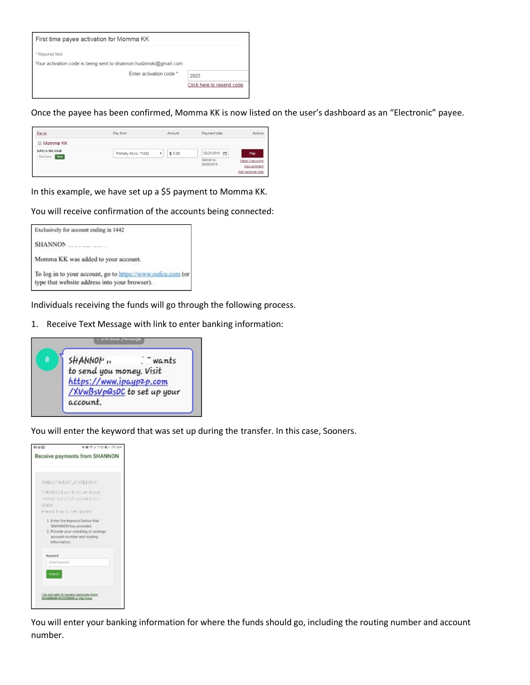| First time payee activation for Momma KK                                                                       |                                   |
|----------------------------------------------------------------------------------------------------------------|-----------------------------------|
| Required field<br>Your activation code is being sent to shannon.hudzinski@gmail.com<br>Enter activation code * | 2823<br>Click here to resend code |

Once the payee has been confirmed, Momma KK is now listed on the user's dashboard as an "Electronic" payee.

| Pay to                                | Pay from            | Amount | Payment date                               | Actions                                                      |
|---------------------------------------|---------------------|--------|--------------------------------------------|--------------------------------------------------------------|
| □ Momma KK                            |                     |        |                                            |                                                              |
| <b>KAYLA WILHAM</b><br>Electronic New | Primary Acco.,*1442 | \$5.00 | 02/21/2019 [特<br>Deliver by:<br>02/25/2019 | Pay<br>Make it recurring<br>Add comment<br>Add personal note |

In this example, we have set up a \$5 payment to Momma KK.

You will receive confirmation of the accounts being connected:



Individuals receiving the funds will go through the following process.

1. Receive Text Message with link to enter banking information:



You will enter the keyword that was set up during the transfer. In this case, Sooners.



You will enter your banking information for where the funds should go, including the routing number and account number.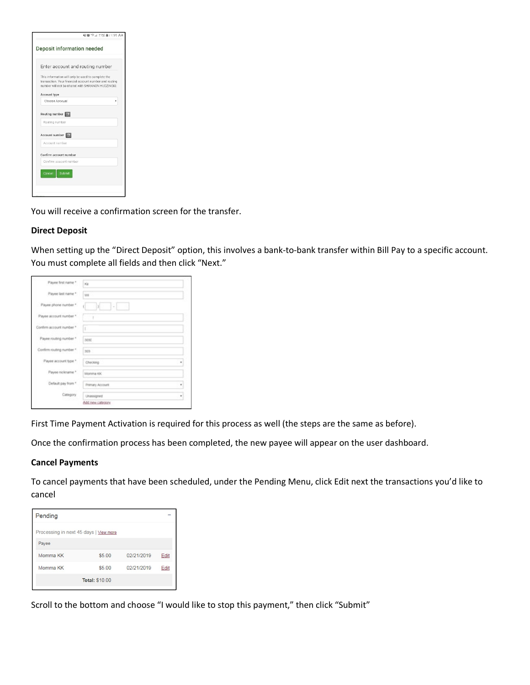| Deposit information needed                           |                                                                                                             |
|------------------------------------------------------|-------------------------------------------------------------------------------------------------------------|
| Enter account and routing number                     |                                                                                                             |
| This information will only be used to complete the   | transaction. Your financial account number and routing<br>number will not be shared with SHANNON HUDZINSKI. |
| Account type                                         |                                                                                                             |
| Choose Account                                       |                                                                                                             |
| Routing number<br>Routing number<br>Account number 2 |                                                                                                             |
| Account number                                       |                                                                                                             |
| Confirm account number                               |                                                                                                             |
| Confirm account number                               |                                                                                                             |
| Submit<br>Cancel                                     |                                                                                                             |

You will receive a confirmation screen for the transfer.

### **Direct Deposit**

When setting up the "Direct Deposit" option, this involves a bank-to-bank transfer within Bill Pay to a specific account. You must complete all fields and then click "Next."

| Payee first name *       | xa                        |   |
|--------------------------|---------------------------|---|
| Payee last name *        | Vill                      |   |
| Payee phone number *     | $\frac{1}{2}$<br>-15<br>ť |   |
| Payer account number *.  | ł                         |   |
| Confirm account number * | ¥.                        |   |
| Payee routing number *   | 3030                      |   |
| Confirm routing number * | $303 -$                   |   |
| Payee account type *     | Checking                  | ٠ |
| Payee nickname *         | Momma KK                  |   |
| Default pay from *       | Premary Account           |   |
| Category                 | Unarasigned               | ٠ |
|                          | Add.new.category.         |   |

First Time Payment Activation is required for this process as well (the steps are the same as before).

Once the confirmation process has been completed, the new payee will appear on the user dashboard.

#### **Cancel Payments**

To cancel payments that have been scheduled, under the Pending Menu, click Edit next the transactions you'd like to cancel

| Pending                                |        |            |      |  |
|----------------------------------------|--------|------------|------|--|
| Processing in next 45 days   View more |        |            |      |  |
| Payee                                  |        |            |      |  |
| Momma KK                               | \$5.00 | 02/21/2019 | Edit |  |
| Momma KK                               | \$500  | 02/21/2019 | Edit |  |
| <b>Total: \$10.00</b>                  |        |            |      |  |

Scroll to the bottom and choose "I would like to stop this payment," then click "Submit"